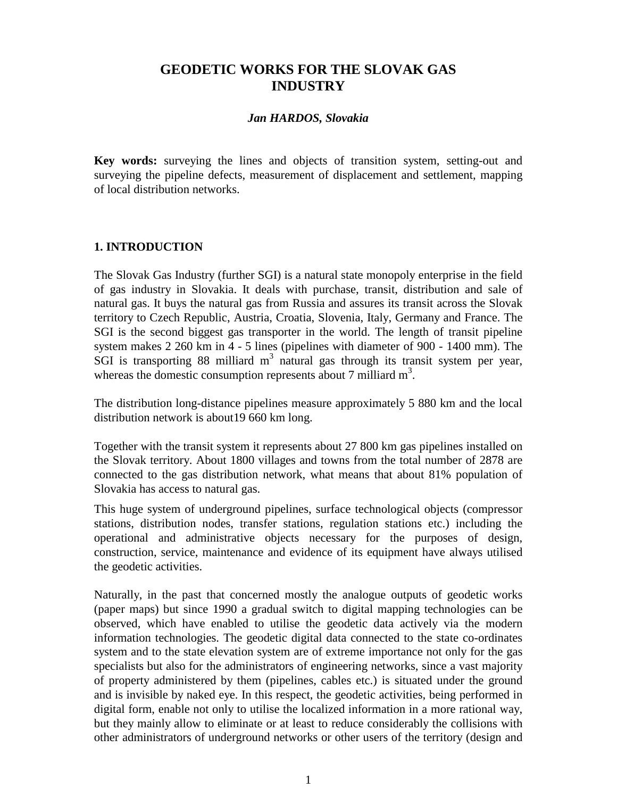# **GEODETIC WORKS FOR THE SLOVAK GAS INDUSTRY**

#### *Jan HARDOS, Slovakia*

**Key words:** surveying the lines and objects of transition system, setting-out and surveying the pipeline defects, measurement of displacement and settlement, mapping of local distribution networks.

### **1. INTRODUCTION**

The Slovak Gas Industry (further SGI) is a natural state monopoly enterprise in the field of gas industry in Slovakia. It deals with purchase, transit, distribution and sale of natural gas. It buys the natural gas from Russia and assures its transit across the Slovak territory to Czech Republic, Austria, Croatia, Slovenia, Italy, Germany and France. The SGI is the second biggest gas transporter in the world. The length of transit pipeline system makes 2 260 km in 4 - 5 lines (pipelines with diameter of 900 - 1400 mm). The  $\overline{S}$ GI is transporting 88 milliard m<sup>3</sup> natural gas through its transit system per year, whereas the domestic consumption represents about 7 milliard  $m<sup>3</sup>$ .

The distribution long-distance pipelines measure approximately 5 880 km and the local distribution network is about19 660 km long.

Together with the transit system it represents about 27 800 km gas pipelines installed on the Slovak territory. About 1800 villages and towns from the total number of 2878 are connected to the gas distribution network, what means that about 81% population of Slovakia has access to natural gas.

This huge system of underground pipelines, surface technological objects (compressor stations, distribution nodes, transfer stations, regulation stations etc.) including the operational and administrative objects necessary for the purposes of design, construction, service, maintenance and evidence of its equipment have always utilised the geodetic activities.

Naturally, in the past that concerned mostly the analogue outputs of geodetic works (paper maps) but since 1990 a gradual switch to digital mapping technologies can be observed, which have enabled to utilise the geodetic data actively via the modern information technologies. The geodetic digital data connected to the state co-ordinates system and to the state elevation system are of extreme importance not only for the gas specialists but also for the administrators of engineering networks, since a vast majority of property administered by them (pipelines, cables etc.) is situated under the ground and is invisible by naked eye. In this respect, the geodetic activities, being performed in digital form, enable not only to utilise the localized information in a more rational way, but they mainly allow to eliminate or at least to reduce considerably the collisions with other administrators of underground networks or other users of the territory (design and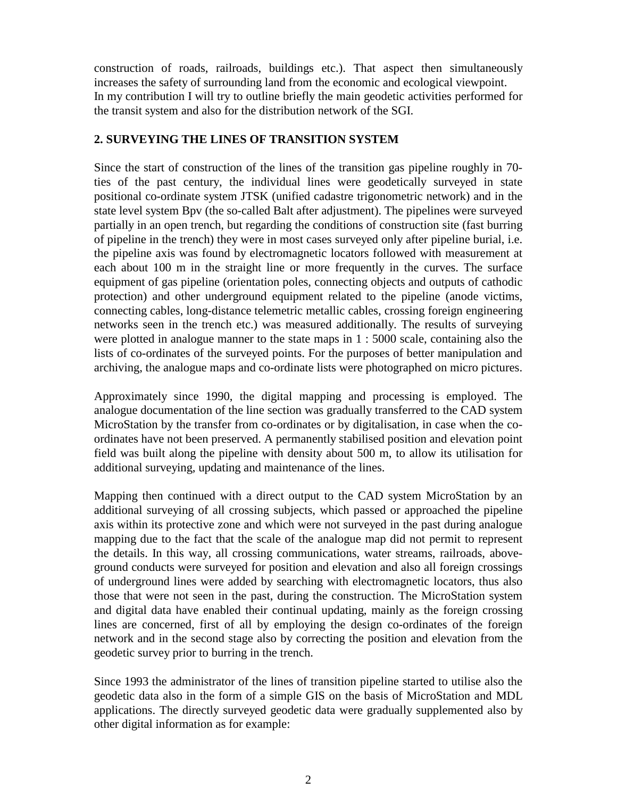construction of roads, railroads, buildings etc.). That aspect then simultaneously increases the safety of surrounding land from the economic and ecological viewpoint. In my contribution I will try to outline briefly the main geodetic activities performed for the transit system and also for the distribution network of the SGI.

### **2. SURVEYING THE LINES OF TRANSITION SYSTEM**

Since the start of construction of the lines of the transition gas pipeline roughly in 70 ties of the past century, the individual lines were geodetically surveyed in state positional co-ordinate system JTSK (unified cadastre trigonometric network) and in the state level system Bpv (the so-called Balt after adjustment). The pipelines were surveyed partially in an open trench, but regarding the conditions of construction site (fast burring of pipeline in the trench) they were in most cases surveyed only after pipeline burial, i.e. the pipeline axis was found by electromagnetic locators followed with measurement at each about 100 m in the straight line or more frequently in the curves. The surface equipment of gas pipeline (orientation poles, connecting objects and outputs of cathodic protection) and other underground equipment related to the pipeline (anode victims, connecting cables, long-distance telemetric metallic cables, crossing foreign engineering networks seen in the trench etc.) was measured additionally. The results of surveying were plotted in analogue manner to the state maps in 1 : 5000 scale, containing also the lists of co-ordinates of the surveyed points. For the purposes of better manipulation and archiving, the analogue maps and co-ordinate lists were photographed on micro pictures.

Approximately since 1990, the digital mapping and processing is employed. The analogue documentation of the line section was gradually transferred to the CAD system MicroStation by the transfer from co-ordinates or by digitalisation, in case when the coordinates have not been preserved. A permanently stabilised position and elevation point field was built along the pipeline with density about 500 m, to allow its utilisation for additional surveying, updating and maintenance of the lines.

Mapping then continued with a direct output to the CAD system MicroStation by an additional surveying of all crossing subjects, which passed or approached the pipeline axis within its protective zone and which were not surveyed in the past during analogue mapping due to the fact that the scale of the analogue map did not permit to represent the details. In this way, all crossing communications, water streams, railroads, aboveground conducts were surveyed for position and elevation and also all foreign crossings of underground lines were added by searching with electromagnetic locators, thus also those that were not seen in the past, during the construction. The MicroStation system and digital data have enabled their continual updating, mainly as the foreign crossing lines are concerned, first of all by employing the design co-ordinates of the foreign network and in the second stage also by correcting the position and elevation from the geodetic survey prior to burring in the trench.

Since 1993 the administrator of the lines of transition pipeline started to utilise also the geodetic data also in the form of a simple GIS on the basis of MicroStation and MDL applications. The directly surveyed geodetic data were gradually supplemented also by other digital information as for example: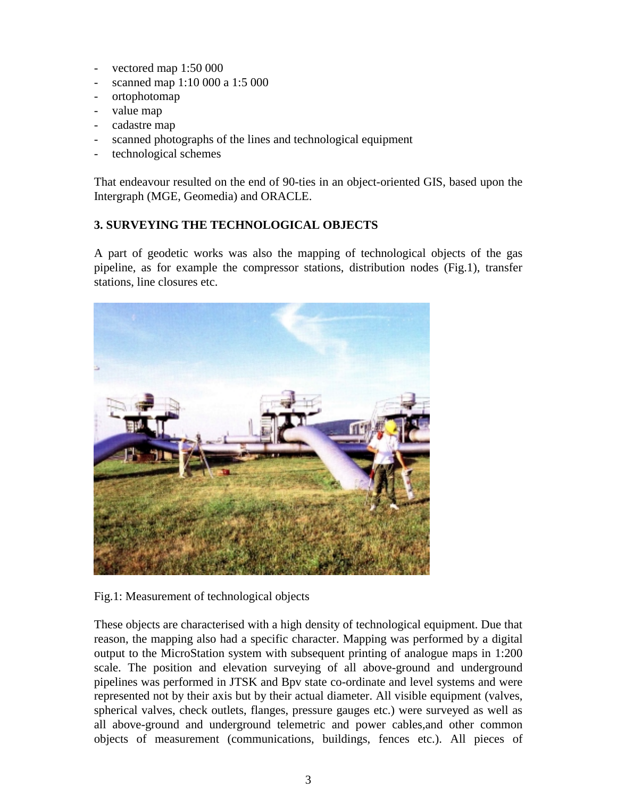- vectored map 1:50 000
- scanned map 1:10 000 a 1:5 000
- ortophotomap
- value map
- cadastre map
- scanned photographs of the lines and technological equipment
- technological schemes

That endeavour resulted on the end of 90-ties in an object-oriented GIS, based upon the Intergraph (MGE, Geomedia) and ORACLE.

## **3. SURVEYING THE TECHNOLOGICAL OBJECTS**

A part of geodetic works was also the mapping of technological objects of the gas pipeline, as for example the compressor stations, distribution nodes (Fig.1), transfer stations, line closures etc.



Fig.1: Measurement of technological objects

These objects are characterised with a high density of technological equipment. Due that reason, the mapping also had a specific character. Mapping was performed by a digital output to the MicroStation system with subsequent printing of analogue maps in 1:200 scale. The position and elevation surveying of all above-ground and underground pipelines was performed in JTSK and Bpv state co-ordinate and level systems and were represented not by their axis but by their actual diameter. All visible equipment (valves, spherical valves, check outlets, flanges, pressure gauges etc.) were surveyed as well as all above-ground and underground telemetric and power cables,and other common objects of measurement (communications, buildings, fences etc.). All pieces of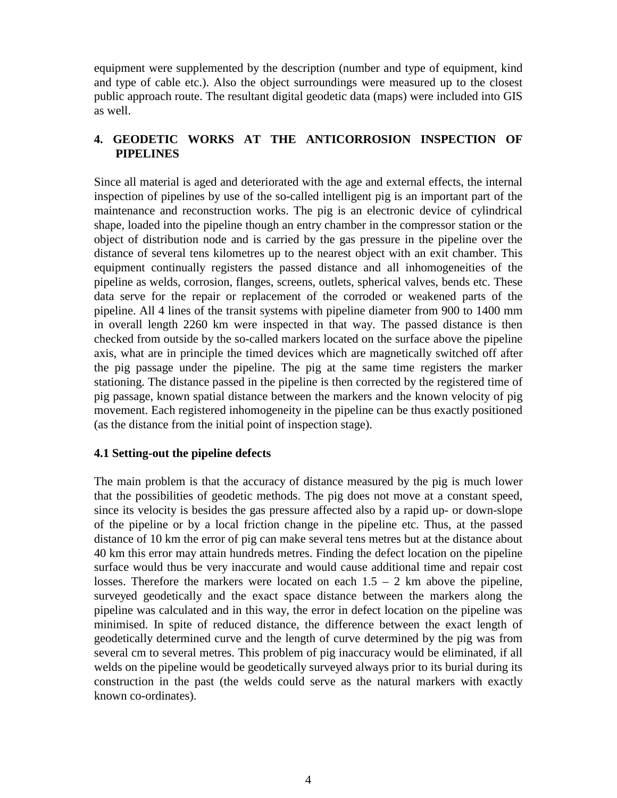equipment were supplemented by the description (number and type of equipment, kind and type of cable etc.). Also the object surroundings were measured up to the closest public approach route. The resultant digital geodetic data (maps) were included into GIS as well.

## **4. GEODETIC WORKS AT THE ANTICORROSION INSPECTION OF PIPELINES**

Since all material is aged and deteriorated with the age and external effects, the internal inspection of pipelines by use of the so-called intelligent pig is an important part of the maintenance and reconstruction works. The pig is an electronic device of cylindrical shape, loaded into the pipeline though an entry chamber in the compressor station or the object of distribution node and is carried by the gas pressure in the pipeline over the distance of several tens kilometres up to the nearest object with an exit chamber. This equipment continually registers the passed distance and all inhomogeneities of the pipeline as welds, corrosion, flanges, screens, outlets, spherical valves, bends etc. These data serve for the repair or replacement of the corroded or weakened parts of the pipeline. All 4 lines of the transit systems with pipeline diameter from 900 to 1400 mm in overall length 2260 km were inspected in that way. The passed distance is then checked from outside by the so-called markers located on the surface above the pipeline axis, what are in principle the timed devices which are magnetically switched off after the pig passage under the pipeline. The pig at the same time registers the marker stationing. The distance passed in the pipeline is then corrected by the registered time of pig passage, known spatial distance between the markers and the known velocity of pig movement. Each registered inhomogeneity in the pipeline can be thus exactly positioned (as the distance from the initial point of inspection stage).

### **4.1 Setting-out the pipeline defects**

The main problem is that the accuracy of distance measured by the pig is much lower that the possibilities of geodetic methods. The pig does not move at a constant speed, since its velocity is besides the gas pressure affected also by a rapid up- or down-slope of the pipeline or by a local friction change in the pipeline etc. Thus, at the passed distance of 10 km the error of pig can make several tens metres but at the distance about 40 km this error may attain hundreds metres. Finding the defect location on the pipeline surface would thus be very inaccurate and would cause additional time and repair cost losses. Therefore the markers were located on each  $1.5 - 2$  km above the pipeline, surveyed geodetically and the exact space distance between the markers along the pipeline was calculated and in this way, the error in defect location on the pipeline was minimised. In spite of reduced distance, the difference between the exact length of geodetically determined curve and the length of curve determined by the pig was from several cm to several metres. This problem of pig inaccuracy would be eliminated, if all welds on the pipeline would be geodetically surveyed always prior to its burial during its construction in the past (the welds could serve as the natural markers with exactly known co-ordinates).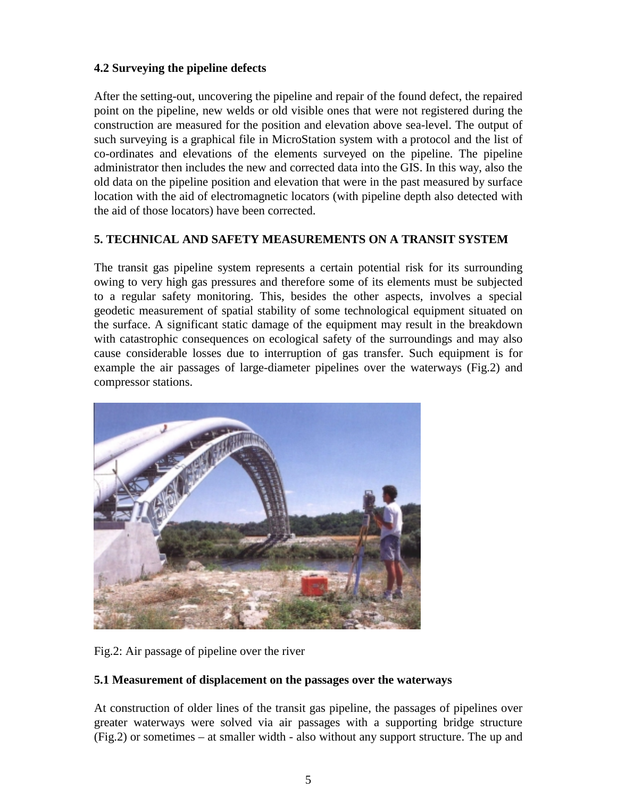## **4.2 Surveying the pipeline defects**

After the setting-out, uncovering the pipeline and repair of the found defect, the repaired point on the pipeline, new welds or old visible ones that were not registered during the construction are measured for the position and elevation above sea-level. The output of such surveying is a graphical file in MicroStation system with a protocol and the list of co-ordinates and elevations of the elements surveyed on the pipeline. The pipeline administrator then includes the new and corrected data into the GIS. In this way, also the old data on the pipeline position and elevation that were in the past measured by surface location with the aid of electromagnetic locators (with pipeline depth also detected with the aid of those locators) have been corrected.

## **5. TECHNICAL AND SAFETY MEASUREMENTS ON A TRANSIT SYSTEM**

The transit gas pipeline system represents a certain potential risk for its surrounding owing to very high gas pressures and therefore some of its elements must be subjected to a regular safety monitoring. This, besides the other aspects, involves a special geodetic measurement of spatial stability of some technological equipment situated on the surface. A significant static damage of the equipment may result in the breakdown with catastrophic consequences on ecological safety of the surroundings and may also cause considerable losses due to interruption of gas transfer. Such equipment is for example the air passages of large-diameter pipelines over the waterways (Fig.2) and compressor stations.



Fig.2: Air passage of pipeline over the river

## **5.1 Measurement of displacement on the passages over the waterways**

At construction of older lines of the transit gas pipeline, the passages of pipelines over greater waterways were solved via air passages with a supporting bridge structure (Fig.2) or sometimes – at smaller width - also without any support structure. The up and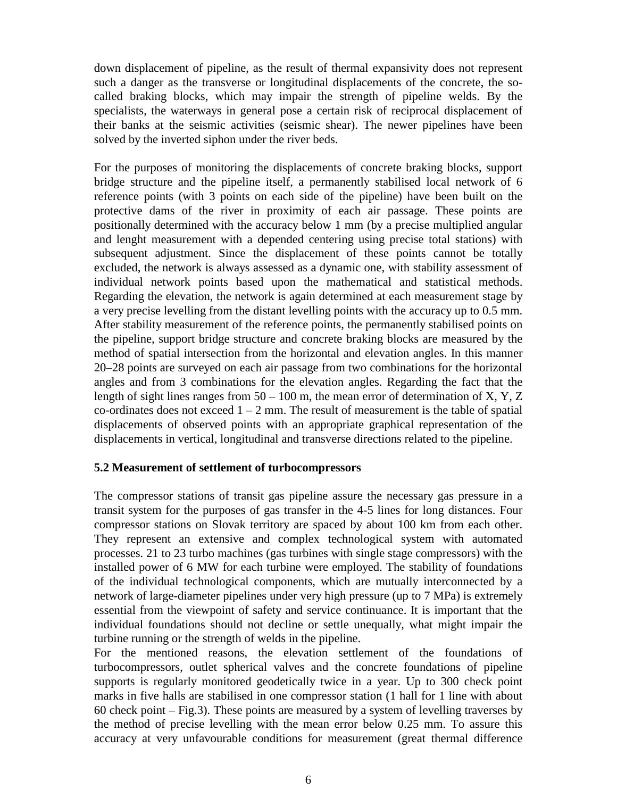down displacement of pipeline, as the result of thermal expansivity does not represent such a danger as the transverse or longitudinal displacements of the concrete, the socalled braking blocks, which may impair the strength of pipeline welds. By the specialists, the waterways in general pose a certain risk of reciprocal displacement of their banks at the seismic activities (seismic shear). The newer pipelines have been solved by the inverted siphon under the river beds.

For the purposes of monitoring the displacements of concrete braking blocks, support bridge structure and the pipeline itself, a permanently stabilised local network of 6 reference points (with 3 points on each side of the pipeline) have been built on the protective dams of the river in proximity of each air passage. These points are positionally determined with the accuracy below 1 mm (by a precise multiplied angular and lenght measurement with a depended centering using precise total stations) with subsequent adjustment. Since the displacement of these points cannot be totally excluded, the network is always assessed as a dynamic one, with stability assessment of individual network points based upon the mathematical and statistical methods. Regarding the elevation, the network is again determined at each measurement stage by a very precise levelling from the distant levelling points with the accuracy up to 0.5 mm. After stability measurement of the reference points, the permanently stabilised points on the pipeline, support bridge structure and concrete braking blocks are measured by the method of spatial intersection from the horizontal and elevation angles. In this manner 20–28 points are surveyed on each air passage from two combinations for the horizontal angles and from 3 combinations for the elevation angles. Regarding the fact that the length of sight lines ranges from  $50 - 100$  m, the mean error of determination of X, Y, Z co-ordinates does not exceed  $1 - 2$  mm. The result of measurement is the table of spatial displacements of observed points with an appropriate graphical representation of the displacements in vertical, longitudinal and transverse directions related to the pipeline.

### **5.2 Measurement of settlement of turbocompressors**

The compressor stations of transit gas pipeline assure the necessary gas pressure in a transit system for the purposes of gas transfer in the 4-5 lines for long distances. Four compressor stations on Slovak territory are spaced by about 100 km from each other. They represent an extensive and complex technological system with automated processes. 21 to 23 turbo machines (gas turbines with single stage compressors) with the installed power of 6 MW for each turbine were employed. The stability of foundations of the individual technological components, which are mutually interconnected by a network of large-diameter pipelines under very high pressure (up to 7 MPa) is extremely essential from the viewpoint of safety and service continuance. It is important that the individual foundations should not decline or settle unequally, what might impair the turbine running or the strength of welds in the pipeline.

For the mentioned reasons, the elevation settlement of the foundations of turbocompressors, outlet spherical valves and the concrete foundations of pipeline supports is regularly monitored geodetically twice in a year. Up to 300 check point marks in five halls are stabilised in one compressor station (1 hall for 1 line with about 60 check point – Fig.3). These points are measured by a system of levelling traverses by the method of precise levelling with the mean error below 0.25 mm. To assure this accuracy at very unfavourable conditions for measurement (great thermal difference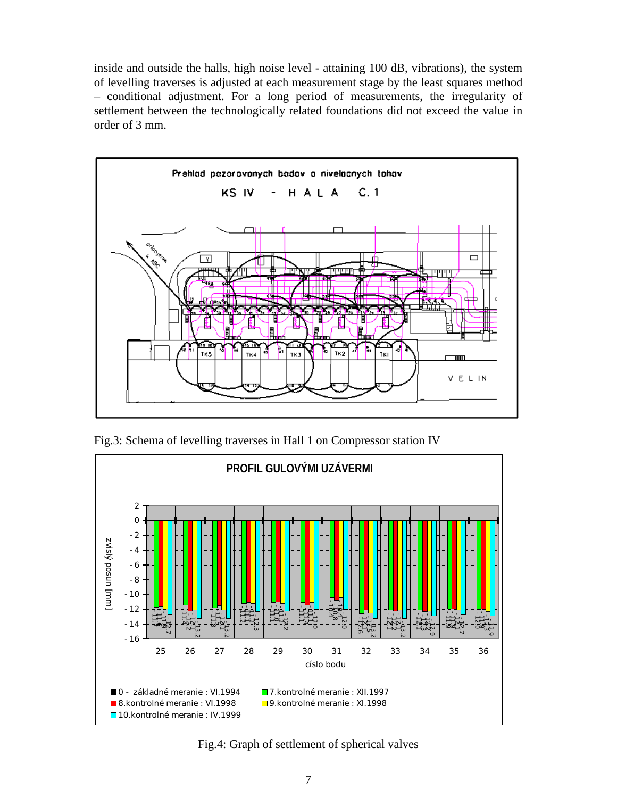inside and outside the halls, high noise level - attaining 100 dB, vibrations), the system of levelling traverses is adjusted at each measurement stage by the least squares method – conditional adjustment. For a long period of measurements, the irregularity of settlement between the technologically related foundations did not exceed the value in order of 3 mm.



Fig.3: Schema of levelling traverses in Hall 1 on Compressor station IV



Fig.4: Graph of settlement of spherical valves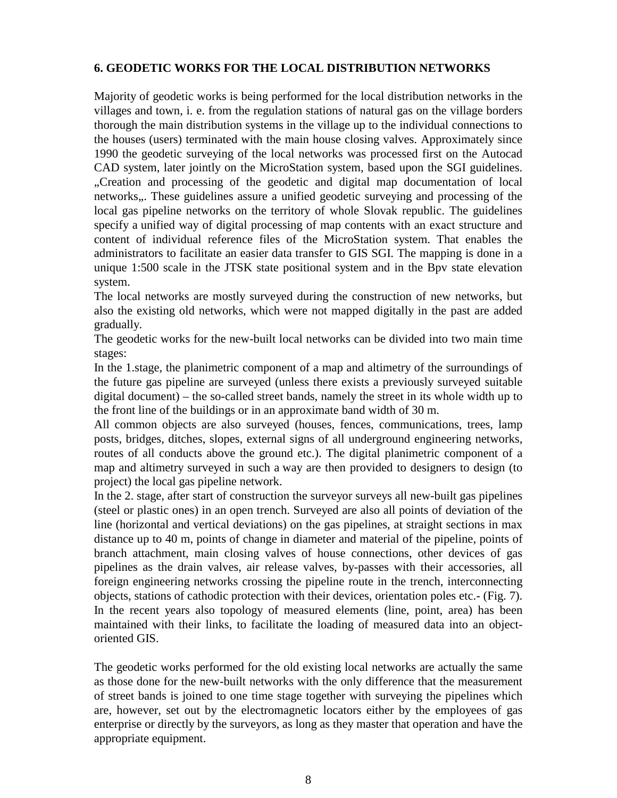### **6. GEODETIC WORKS FOR THE LOCAL DISTRIBUTION NETWORKS**

Majority of geodetic works is being performed for the local distribution networks in the villages and town, i. e. from the regulation stations of natural gas on the village borders thorough the main distribution systems in the village up to the individual connections to the houses (users) terminated with the main house closing valves. Approximately since 1990 the geodetic surveying of the local networks was processed first on the Autocad CAD system, later jointly on the MicroStation system, based upon the SGI guidelines. "Creation and processing of the geodetic and digital map documentation of local networks". These guidelines assure a unified geodetic surveying and processing of the local gas pipeline networks on the territory of whole Slovak republic. The guidelines specify a unified way of digital processing of map contents with an exact structure and content of individual reference files of the MicroStation system. That enables the administrators to facilitate an easier data transfer to GIS SGI. The mapping is done in a unique 1:500 scale in the JTSK state positional system and in the Bpv state elevation system.

The local networks are mostly surveyed during the construction of new networks, but also the existing old networks, which were not mapped digitally in the past are added gradually.

The geodetic works for the new-built local networks can be divided into two main time stages:

In the 1.stage, the planimetric component of a map and altimetry of the surroundings of the future gas pipeline are surveyed (unless there exists a previously surveyed suitable digital document) – the so-called street bands, namely the street in its whole width up to the front line of the buildings or in an approximate band width of 30 m.

All common objects are also surveyed (houses, fences, communications, trees, lamp posts, bridges, ditches, slopes, external signs of all underground engineering networks, routes of all conducts above the ground etc.). The digital planimetric component of a map and altimetry surveyed in such a way are then provided to designers to design (to project) the local gas pipeline network.

In the 2. stage, after start of construction the surveyor surveys all new-built gas pipelines (steel or plastic ones) in an open trench. Surveyed are also all points of deviation of the line (horizontal and vertical deviations) on the gas pipelines, at straight sections in max distance up to 40 m, points of change in diameter and material of the pipeline, points of branch attachment, main closing valves of house connections, other devices of gas pipelines as the drain valves, air release valves, by-passes with their accessories, all foreign engineering networks crossing the pipeline route in the trench, interconnecting objects, stations of cathodic protection with their devices, orientation poles etc.- (Fig. 7). In the recent years also topology of measured elements (line, point, area) has been maintained with their links, to facilitate the loading of measured data into an objectoriented GIS.

The geodetic works performed for the old existing local networks are actually the same as those done for the new-built networks with the only difference that the measurement of street bands is joined to one time stage together with surveying the pipelines which are, however, set out by the electromagnetic locators either by the employees of gas enterprise or directly by the surveyors, as long as they master that operation and have the appropriate equipment.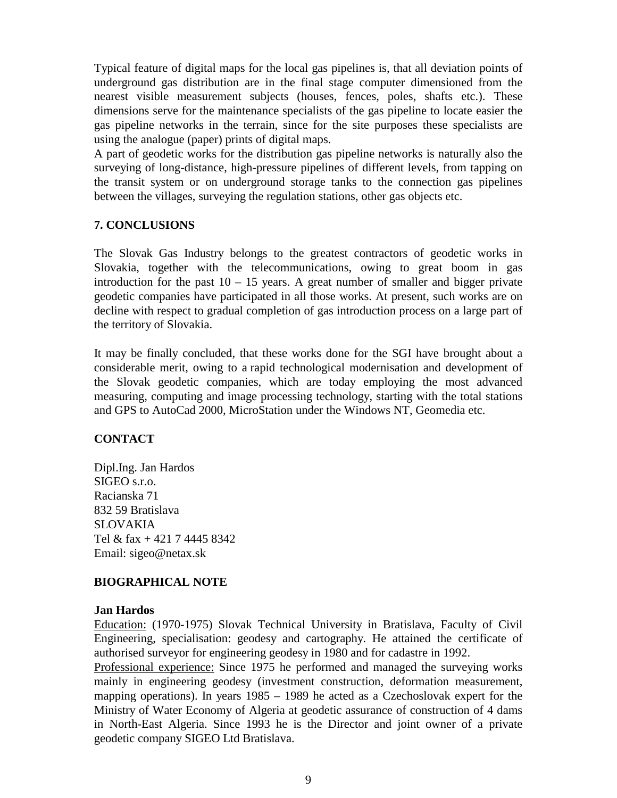Typical feature of digital maps for the local gas pipelines is, that all deviation points of underground gas distribution are in the final stage computer dimensioned from the nearest visible measurement subjects (houses, fences, poles, shafts etc.). These dimensions serve for the maintenance specialists of the gas pipeline to locate easier the gas pipeline networks in the terrain, since for the site purposes these specialists are using the analogue (paper) prints of digital maps.

A part of geodetic works for the distribution gas pipeline networks is naturally also the surveying of long-distance, high-pressure pipelines of different levels, from tapping on the transit system or on underground storage tanks to the connection gas pipelines between the villages, surveying the regulation stations, other gas objects etc.

## **7. CONCLUSIONS**

The Slovak Gas Industry belongs to the greatest contractors of geodetic works in Slovakia, together with the telecommunications, owing to great boom in gas introduction for the past  $10 - 15$  years. A great number of smaller and bigger private geodetic companies have participated in all those works. At present, such works are on decline with respect to gradual completion of gas introduction process on a large part of the territory of Slovakia.

It may be finally concluded, that these works done for the SGI have brought about a considerable merit, owing to a rapid technological modernisation and development of the Slovak geodetic companies, which are today employing the most advanced measuring, computing and image processing technology, starting with the total stations and GPS to AutoCad 2000, MicroStation under the Windows NT, Geomedia etc.

## **CONTACT**

Dipl.Ing. Jan Hardos SIGEO s.r.o. Racianska 71 832 59 Bratislava SLOVAKIA Tel & fax + 421 7 4445 8342 Email: sigeo@netax.sk

## **BIOGRAPHICAL NOTE**

### **Jan Hardos**

Education: (1970-1975) Slovak Technical University in Bratislava, Faculty of Civil Engineering, specialisation: geodesy and cartography. He attained the certificate of authorised surveyor for engineering geodesy in 1980 and for cadastre in 1992.

Professional experience: Since 1975 he performed and managed the surveying works mainly in engineering geodesy (investment construction, deformation measurement, mapping operations). In years 1985 – 1989 he acted as a Czechoslovak expert for the Ministry of Water Economy of Algeria at geodetic assurance of construction of 4 dams in North-East Algeria. Since 1993 he is the Director and joint owner of a private geodetic company SIGEO Ltd Bratislava.